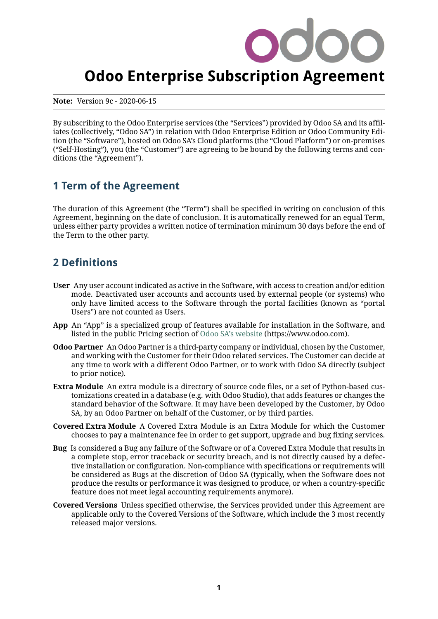# **Odoo Enterprise Subscription Agreement**

**Note:** Version 9c - 2020-06-15

By subscribing to the Odoo Enterprise services (the "Services") provided by Odoo SA and its affiliates (collectively, "Odoo SA") in relation with Odoo Enterprise Edition or Odoo Community Edition (the "Software"), hosted on Odoo SA's Cloud platforms (the "Cloud Platform") or on-premises ("Self-Hosting"), you (the "Customer") are agreeing to be bound by the following terms and conditions (the "Agreement").

# <span id="page-0-0"></span>**1 Term of the Agreement**

The duration of this Agreement (the "Term") shall be specified in writing on conclusion of this Agreement, beginning on the date of conclusion. It is automatically renewed for an equal Term, unless either party provides a written notice of termination minimum 30 days before the end of the Term to the other party.

# **2 Definitions**

- **User** Any user account indicated as active in the Software, with access to creation and/or edition mode. Deactivated user accounts and accounts used by external people (or systems) who only have limited access to the Software through the portal facilities (known as "portal Users") are not counted as Users.
- **App** An "App" is a specialized group of features available for installation in the Software, and listed in the public Pricing section of [Odoo SA's website](https://www.odoo.com) (https://www.odoo.com).
- **Odoo Partner** An Odoo Partner is a third-party company or individual, chosen by the Customer, and working with the Customer for their Odoo related services. The Customer can decide at any time to work with a different Odoo Partner, or to work with Odoo SA directly (subject to prior notice).
- **Extra Module** An extra module is a directory of source code files, or a set of Python-based customizations created in a database (e.g. with Odoo Studio), that adds features or changes the standard behavior of the Software. It may have been developed by the Customer, by Odoo SA, by an Odoo Partner on behalf of the Customer, or by third parties.
- **Covered Extra Module** A Covered Extra Module is an Extra Module for which the Customer chooses to pay a maintenance fee in order to get support, upgrade and bug fixing services.
- **Bug** Is considered a Bug any failure of the Software or of a Covered Extra Module that results in a complete stop, error traceback or security breach, and is not directly caused by a defective installation or configuration. Non-compliance with specifications or requirements will be considered as Bugs at the discretion of Odoo SA (typically, when the Software does not produce the results or performance it was designed to produce, or when a country-specific feature does not meet legal accounting requirements anymore).
- **Covered Versions** Unless specified otherwise, the Services provided under this Agreement are applicable only to the Covered Versions of the Software, which include the 3 most recently released major versions.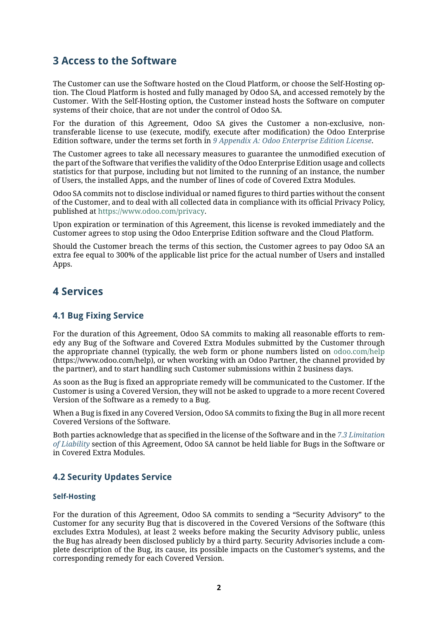# <span id="page-1-1"></span>**3 Access to the Software**

The Customer can use the Software hosted on the Cloud Platform, or choose the Self-Hosting option. The Cloud Platform is hosted and fully managed by Odoo SA, and accessed remotely by the Customer. With the Self-Hosting option, the Customer instead hosts the Software on computer systems of their choice, that are not under the control of Odoo SA.

For the duration of this Agreement, Odoo SA gives the Customer a non-exclusive, nontransferable license to use (execute, modify, execute after modification) the Odoo Enterprise Edition software, under the terms set forth in *[9 Appendix A: Odoo Enterprise Edition License](#page-8-0)*.

The Customer agrees to take all necessary measures to guarantee the unmodified execution of the part of the Software that verifies the validity of the Odoo Enterprise Edition usage and collects statistics for that purpose, including but not limited to the running of an instance, the number of Users, the installed Apps, and the number of lines of code of Covered Extra Modules.

Odoo SA commits not to disclose individual or named figures to third parties without the consent of the Customer, and to deal with all collected data in compliance with its official Privacy Policy, published at [https://www.odoo.com/privacy.](https://www.odoo.com/privacy)

Upon expiration or termination of this Agreement, this license is revoked immediately and the Customer agrees to stop using the Odoo Enterprise Edition software and the Cloud Platform.

Should the Customer breach the terms of this section, the Customer agrees to pay Odoo SA an extra fee equal to 300% of the applicable list price for the actual number of Users and installed Apps.

# **4 Services**

### <span id="page-1-0"></span>**4.1 Bug Fixing Service**

For the duration of this Agreement, Odoo SA commits to making all reasonable efforts to remedy any Bug of the Software and Covered Extra Modules submitted by the Customer through the appropriate channel (typically, the web form or phone numbers listed on [odoo.com/help](https://www.odoo.com/help) (https://www.odoo.com/help), or when working with an Odoo Partner, the channel provided by the partner), and to start handling such Customer submissions within 2 business days.

As soon as the Bug is fixed an appropriate remedy will be communicated to the Customer. If the Customer is using a Covered Version, they will not be asked to upgrade to a more recent Covered Version of the Software as a remedy to a Bug.

When a Bug is fixed in any Covered Version, Odoo SA commits to fixing the Bug in all more recent Covered Versions of the Software.

Both parties acknowledge that as specified in the license of the Software and in the *[7.3 Limitation](#page-7-0) [of Liability](#page-7-0)* section of this Agreement, Odoo SA cannot be held liable for Bugs in the Software or in Covered Extra Modules.

### **4.2 Security Updates Service**

#### **Self-Hosting**

For the duration of this Agreement, Odoo SA commits to sending a "Security Advisory" to the Customer for any security Bug that is discovered in the Covered Versions of the Software (this excludes Extra Modules), at least 2 weeks before making the Security Advisory public, unless the Bug has already been disclosed publicly by a third party. Security Advisories include a complete description of the Bug, its cause, its possible impacts on the Customer's systems, and the corresponding remedy for each Covered Version.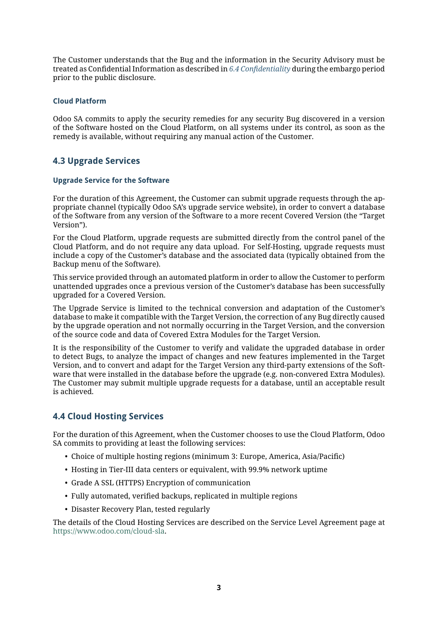The Customer understands that the Bug and the information in the Security Advisory must be treated as Confidential Information as described in *[6.4 Confidentiality](#page-5-0)* during the embargo period prior to the public disclosure.

#### **Cloud Platform**

Odoo SA commits to apply the security remedies for any security Bug discovered in a version of the Software hosted on the Cloud Platform, on all systems under its control, as soon as the remedy is available, without requiring any manual action of the Customer.

# **4.3 Upgrade Services**

#### **Upgrade Service for the Software**

For the duration of this Agreement, the Customer can submit upgrade requests through the appropriate channel (typically Odoo SA's upgrade service website), in order to convert a database of the Software from any version of the Software to a more recent Covered Version (the "Target Version").

For the Cloud Platform, upgrade requests are submitted directly from the control panel of the Cloud Platform, and do not require any data upload. For Self-Hosting, upgrade requests must include a copy of the Customer's database and the associated data (typically obtained from the Backup menu of the Software).

This service provided through an automated platform in order to allow the Customer to perform unattended upgrades once a previous version of the Customer's database has been successfully upgraded for a Covered Version.

The Upgrade Service is limited to the technical conversion and adaptation of the Customer's database to make it compatible with the Target Version, the correction of any Bug directly caused by the upgrade operation and not normally occurring in the Target Version, and the conversion of the source code and data of Covered Extra Modules for the Target Version.

It is the responsibility of the Customer to verify and validate the upgraded database in order to detect Bugs, to analyze the impact of changes and new features implemented in the Target Version, and to convert and adapt for the Target Version any third-party extensions of the Software that were installed in the database before the upgrade (e.g. non-convered Extra Modules). The Customer may submit multiple upgrade requests for a database, until an acceptable result is achieved.

# **4.4 Cloud Hosting Services**

For the duration of this Agreement, when the Customer chooses to use the Cloud Platform, Odoo SA commits to providing at least the following services:

- Choice of multiple hosting regions (minimum 3: Europe, America, Asia/Pacific)
- Hosting in Tier-III data centers or equivalent, with 99.9% network uptime
- Grade A SSL (HTTPS) Encryption of communication
- Fully automated, verified backups, replicated in multiple regions
- Disaster Recovery Plan, tested regularly

The details of the Cloud Hosting Services are described on the Service Level Agreement page at [https://www.odoo.com/cloud-sla.](https://www.odoo.com/cloud-sla)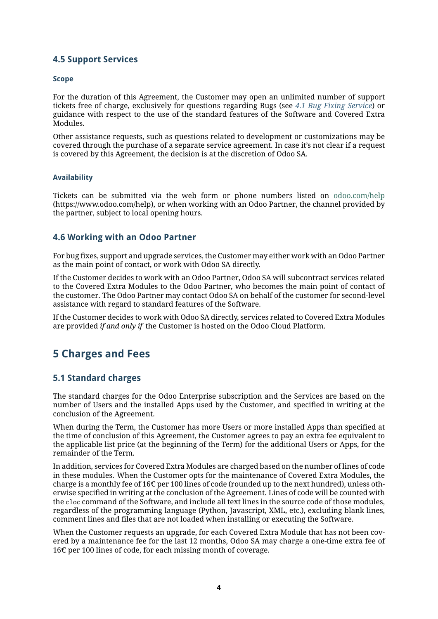# **4.5 Support Services**

#### **Scope**

For the duration of this Agreement, the Customer may open an unlimited number of support tickets free of charge, exclusively for questions regarding Bugs (see *[4.1 Bug Fixing Service](#page-1-0)*) or guidance with respect to the use of the standard features of the Software and Covered Extra Modules.

Other assistance requests, such as questions related to development or customizations may be covered through the purchase of a separate service agreement. In case it's not clear if a request is covered by this Agreement, the decision is at the discretion of Odoo SA.

#### **Availability**

Tickets can be submitted via the web form or phone numbers listed on [odoo.com/help](https://www.odoo.com/help) (https://www.odoo.com/help), or when working with an Odoo Partner, the channel provided by the partner, subject to local opening hours.

### **4.6 Working with an Odoo Partner**

For bug fixes, support and upgrade services, the Customer may either work with an Odoo Partner as the main point of contact, or work with Odoo SA directly.

If the Customer decides to work with an Odoo Partner, Odoo SA will subcontract services related to the Covered Extra Modules to the Odoo Partner, who becomes the main point of contact of the customer. The Odoo Partner may contact Odoo SA on behalf of the customer for second-level assistance with regard to standard features of the Software.

If the Customer decides to work with Odoo SA directly, services related to Covered Extra Modules are provided *if and only if* the Customer is hosted on the Odoo Cloud Platform.

# **5 Charges and Fees**

### <span id="page-3-0"></span>**5.1 Standard charges**

The standard charges for the Odoo Enterprise subscription and the Services are based on the number of Users and the installed Apps used by the Customer, and specified in writing at the conclusion of the Agreement.

When during the Term, the Customer has more Users or more installed Apps than specified at the time of conclusion of this Agreement, the Customer agrees to pay an extra fee equivalent to the applicable list price (at the beginning of the Term) for the additional Users or Apps, for the remainder of the Term.

In addition, services for Covered Extra Modules are charged based on the number of lines of code in these modules. When the Customer opts for the maintenance of Covered Extra Modules, the charge is a monthly fee of 16 $\epsilon$  per 100 lines of code (rounded up to the next hundred), unless otherwise specified in writing at the conclusion of the Agreement. Lines of code will be counted with the cloc command of the Software, and include all text lines in the source code of those modules, regardless of the programming language (Python, Javascript, XML, etc.), excluding blank lines, comment lines and files that are not loaded when installing or executing the Software.

When the Customer requests an upgrade, for each Covered Extra Module that has not been covered by a maintenance fee for the last 12 months, Odoo SA may charge a one-time extra fee of 16 $\epsilon$  per 100 lines of code, for each missing month of coverage.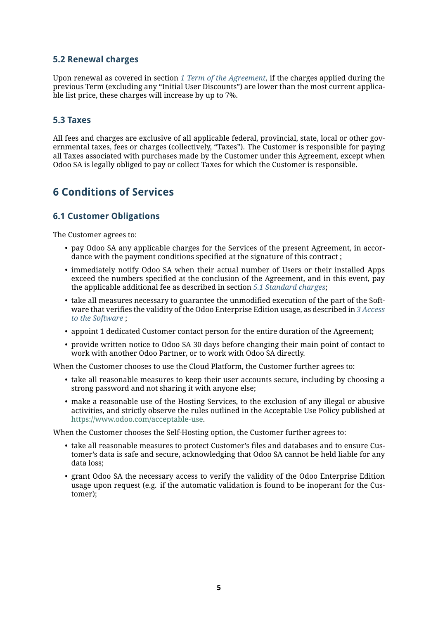## **5.2 Renewal charges**

Upon renewal as covered in section *[1 Term of the Agreement](#page-0-0)*, if the charges applied during the previous Term (excluding any "Initial User Discounts") are lower than the most current applicable list price, these charges will increase by up to 7%.

### **5.3 Taxes**

All fees and charges are exclusive of all applicable federal, provincial, state, local or other governmental taxes, fees or charges (collectively, "Taxes"). The Customer is responsible for paying all Taxes associated with purchases made by the Customer under this Agreement, except when Odoo SA is legally obliged to pay or collect Taxes for which the Customer is responsible.

# **6 Conditions of Services**

### **6.1 Customer Obligations**

The Customer agrees to:

- pay Odoo SA any applicable charges for the Services of the present Agreement, in accordance with the payment conditions specified at the signature of this contract ;
- immediately notify Odoo SA when their actual number of Users or their installed Apps exceed the numbers specified at the conclusion of the Agreement, and in this event, pay the applicable additional fee as described in section *[5.1 Standard charges](#page-3-0)*;
- take all measures necessary to guarantee the unmodified execution of the part of the Software that verifies the validity of the Odoo Enterprise Edition usage, as described in *[3 Access](#page-1-1) [to the Software](#page-1-1)* ;
- appoint 1 dedicated Customer contact person for the entire duration of the Agreement;
- provide written notice to Odoo SA 30 days before changing their main point of contact to work with another Odoo Partner, or to work with Odoo SA directly.

When the Customer chooses to use the Cloud Platform, the Customer further agrees to:

- take all reasonable measures to keep their user accounts secure, including by choosing a strong password and not sharing it with anyone else;
- make a reasonable use of the Hosting Services, to the exclusion of any illegal or abusive activities, and strictly observe the rules outlined in the Acceptable Use Policy published at [https://www.odoo.com/acceptable-use.](https://www.odoo.com/acceptable-use)

When the Customer chooses the Self-Hosting option, the Customer further agrees to:

- take all reasonable measures to protect Customer's files and databases and to ensure Customer's data is safe and secure, acknowledging that Odoo SA cannot be held liable for any data loss;
- grant Odoo SA the necessary access to verify the validity of the Odoo Enterprise Edition usage upon request (e.g. if the automatic validation is found to be inoperant for the Customer);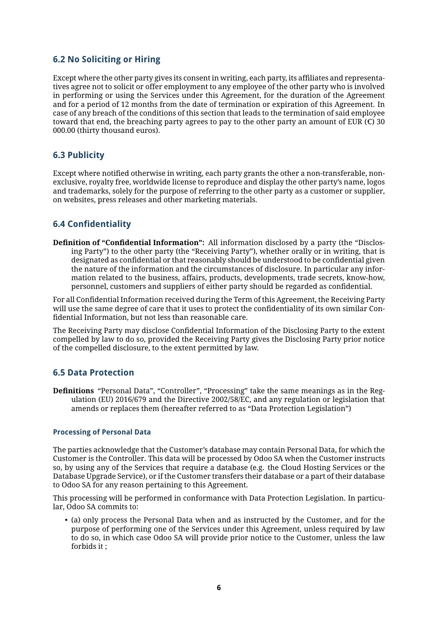# **6.2 No Soliciting or Hiring**

Except where the other party gives its consent in writing, each party, its affiliates and representatives agree not to solicit or offer employment to any employee of the other party who is involved in performing or using the Services under this Agreement, for the duration of the Agreement and for a period of 12 months from the date of termination or expiration of this Agreement. In case of any breach of the conditions of this section that leads to the termination of said employee toward that end, the breaching party agrees to pay to the other party an amount of EUR ( $\epsilon$ ) 30 000.00 (thirty thousand euros).

# **6.3 Publicity**

Except where notified otherwise in writing, each party grants the other a non-transferable, nonexclusive, royalty free, worldwide license to reproduce and display the other party's name, logos and trademarks, solely for the purpose of referring to the other party as a customer or supplier, on websites, press releases and other marketing materials.

# <span id="page-5-0"></span>**6.4 Confidentiality**

**Definition of "Confidential Information":** All information disclosed by a party (the "Disclosing Party") to the other party (the "Receiving Party"), whether orally or in writing, that is designated as confidential or that reasonably should be understood to be confidential given the nature of the information and the circumstances of disclosure. In particular any information related to the business, affairs, products, developments, trade secrets, know-how, personnel, customers and suppliers of either party should be regarded as confidential.

For all Confidential Information received during the Term of this Agreement, the Receiving Party will use the same degree of care that it uses to protect the confidentiality of its own similar Confidential Information, but not less than reasonable care.

The Receiving Party may disclose Confidential Information of the Disclosing Party to the extent compelled by law to do so, provided the Receiving Party gives the Disclosing Party prior notice of the compelled disclosure, to the extent permitted by law.

### **6.5 Data Protection**

**Definitions** "Personal Data", "Controller", "Processing" take the same meanings as in the Regulation (EU) 2016/679 and the Directive 2002/58/EC, and any regulation or legislation that amends or replaces them (hereafter referred to as "Data Protection Legislation")

#### **Processing of Personal Data**

The parties acknowledge that the Customer's database may contain Personal Data, for which the Customer is the Controller. This data will be processed by Odoo SA when the Customer instructs so, by using any of the Services that require a database (e.g. the Cloud Hosting Services or the Database Upgrade Service), or if the Customer transfers their database or a part of their database to Odoo SA for any reason pertaining to this Agreement.

This processing will be performed in conformance with Data Protection Legislation. In particular, Odoo SA commits to:

• (a) only process the Personal Data when and as instructed by the Customer, and for the purpose of performing one of the Services under this Agreement, unless required by law to do so, in which case Odoo SA will provide prior notice to the Customer, unless the law forbids it ;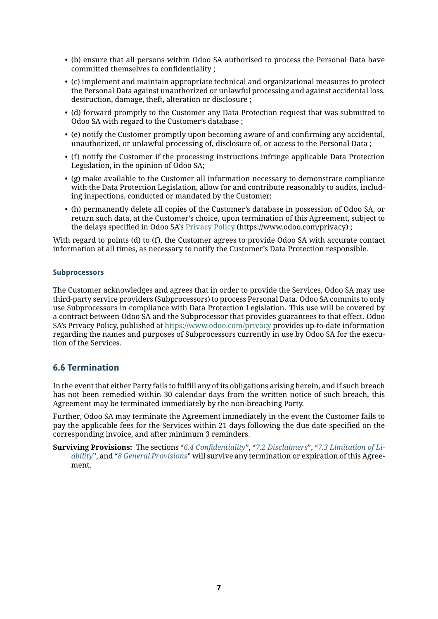- (b) ensure that all persons within Odoo SA authorised to process the Personal Data have committed themselves to confidentiality ;
- (c) implement and maintain appropriate technical and organizational measures to protect the Personal Data against unauthorized or unlawful processing and against accidental loss, destruction, damage, theft, alteration or disclosure ;
- (d) forward promptly to the Customer any Data Protection request that was submitted to Odoo SA with regard to the Customer's database ;
- (e) notify the Customer promptly upon becoming aware of and confirming any accidental, unauthorized, or unlawful processing of, disclosure of, or access to the Personal Data ;
- (f) notify the Customer if the processing instructions infringe applicable Data Protection Legislation, in the opinion of Odoo SA;
- (g) make available to the Customer all information necessary to demonstrate compliance with the Data Protection Legislation, allow for and contribute reasonably to audits, including inspections, conducted or mandated by the Customer;
- (h) permanently delete all copies of the Customer's database in possession of Odoo SA, or return such data, at the Customer's choice, upon termination of this Agreement, subject to the delays specified in Odoo SA's [Privacy Policy](https://www.odoo.com/privacy) (https://www.odoo.com/privacy) ;

With regard to points (d) to (f), the Customer agrees to provide Odoo SA with accurate contact information at all times, as necessary to notify the Customer's Data Protection responsible.

#### **Subprocessors**

The Customer acknowledges and agrees that in order to provide the Services, Odoo SA may use third-party service providers (Subprocessors) to process Personal Data. Odoo SA commits to only use Subprocessors in compliance with Data Protection Legislation. This use will be covered by a contract between Odoo SA and the Subprocessor that provides guarantees to that effect. Odoo SA's Privacy Policy, published at <https://www.odoo.com/privacy> provides up-to-date information regarding the names and purposes of Subprocessors currently in use by Odoo SA for the execution of the Services.

# **6.6 Termination**

In the event that either Party fails to fulfill any of its obligations arising herein, and if such breach has not been remedied within 30 calendar days from the written notice of such breach, this Agreement may be terminated immediately by the non-breaching Party.

Further, Odoo SA may terminate the Agreement immediately in the event the Customer fails to pay the applicable fees for the Services within 21 days following the due date specified on the corresponding invoice, and after minimum 3 reminders.

**Surviving Provisions:** The sections "*[6.4 Confidentiality](#page-5-0)*", "*[7.2 Disclaimers](#page-7-1)*", "*[7.3 Limitation of Li](#page-7-0)[ability](#page-7-0)*", and "*[8 General Provisions](#page-8-1)*" will survive any termination or expiration of this Agreement.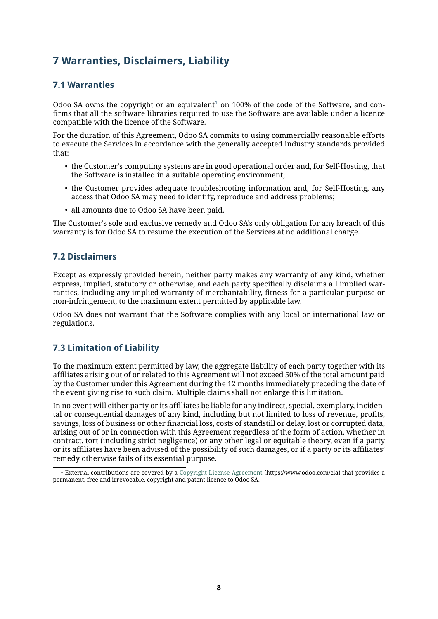# **7 Warranties, Disclaimers, Liability**

# **7.1 Warranties**

Odoo SA owns the copyright or an equivalent<sup>[1](#page-7-2)</sup> on 100% of the code of the Software, and confirms that all the software libraries required to use the Software are available under a licence compatible with the licence of the Software.

For the duration of this Agreement, Odoo SA commits to using commercially reasonable efforts to execute the Services in accordance with the generally accepted industry standards provided that:

- the Customer's computing systems are in good operational order and, for Self-Hosting, that the Software is installed in a suitable operating environment;
- the Customer provides adequate troubleshooting information and, for Self-Hosting, any access that Odoo SA may need to identify, reproduce and address problems;
- all amounts due to Odoo SA have been paid.

The Customer's sole and exclusive remedy and Odoo SA's only obligation for any breach of this warranty is for Odoo SA to resume the execution of the Services at no additional charge.

# <span id="page-7-1"></span>**7.2 Disclaimers**

Except as expressly provided herein, neither party makes any warranty of any kind, whether express, implied, statutory or otherwise, and each party specifically disclaims all implied warranties, including any implied warranty of merchantability, fitness for a particular purpose or non-infringement, to the maximum extent permitted by applicable law.

Odoo SA does not warrant that the Software complies with any local or international law or regulations.

# <span id="page-7-0"></span>**7.3 Limitation of Liability**

To the maximum extent permitted by law, the aggregate liability of each party together with its affiliates arising out of or related to this Agreement will not exceed 50% of the total amount paid by the Customer under this Agreement during the 12 months immediately preceding the date of the event giving rise to such claim. Multiple claims shall not enlarge this limitation.

In no event will either party or its affiliates be liable for any indirect, special, exemplary, incidental or consequential damages of any kind, including but not limited to loss of revenue, profits, savings, loss of business or other financial loss, costs of standstill or delay, lost or corrupted data, arising out of or in connection with this Agreement regardless of the form of action, whether in contract, tort (including strict negligence) or any other legal or equitable theory, even if a party or its affiliates have been advised of the possibility of such damages, or if a party or its affiliates' remedy otherwise fails of its essential purpose.

<span id="page-7-2"></span><sup>1</sup> External contributions are covered by a [Copyright License Agreement](https://www.odoo.com/cla) (https://www.odoo.com/cla) that provides a permanent, free and irrevocable, copyright and patent licence to Odoo SA.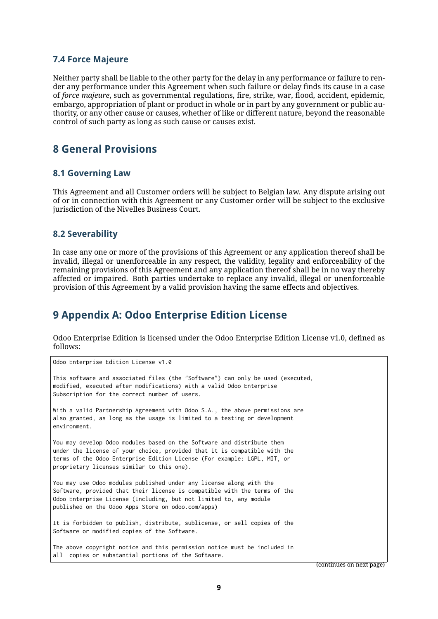### **7.4 Force Majeure**

Neither party shall be liable to the other party for the delay in any performance or failure to render any performance under this Agreement when such failure or delay finds its cause in a case of *force majeure*, such as governmental regulations, fire, strike, war, flood, accident, epidemic, embargo, appropriation of plant or product in whole or in part by any government or public authority, or any other cause or causes, whether of like or different nature, beyond the reasonable control of such party as long as such cause or causes exist.

# <span id="page-8-1"></span>**8 General Provisions**

### **8.1 Governing Law**

This Agreement and all Customer orders will be subject to Belgian law. Any dispute arising out of or in connection with this Agreement or any Customer order will be subject to the exclusive jurisdiction of the Nivelles Business Court.

### **8.2 Severability**

In case any one or more of the provisions of this Agreement or any application thereof shall be invalid, illegal or unenforceable in any respect, the validity, legality and enforceability of the remaining provisions of this Agreement and any application thereof shall be in no way thereby affected or impaired. Both parties undertake to replace any invalid, illegal or unenforceable provision of this Agreement by a valid provision having the same effects and objectives.

# <span id="page-8-0"></span>**9 Appendix A: Odoo Enterprise Edition License**

Odoo Enterprise Edition is licensed under the Odoo Enterprise Edition License v1.0, defined as follows:

Odoo Enterprise Edition License v1.0 This software and associated files (the "Software") can only be used (executed, modified, executed after modifications) with a valid Odoo Enterprise Subscription for the correct number of users. With a valid Partnership Agreement with Odoo S.A., the above permissions are also granted, as long as the usage is limited to a testing or development environment. You may develop Odoo modules based on the Software and distribute them under the license of your choice, provided that it is compatible with the terms of the Odoo Enterprise Edition License (For example: LGPL, MIT, or proprietary licenses similar to this one). You may use Odoo modules published under any license along with the Software, provided that their license is compatible with the terms of the Odoo Enterprise License (Including, but not limited to, any module published on the Odoo Apps Store on odoo.com/apps) It is forbidden to publish, distribute, sublicense, or sell copies of the Software or modified copies of the Software. The above copyright notice and this permission notice must be included in all copies or substantial portions of the Software.

(continues on next page)